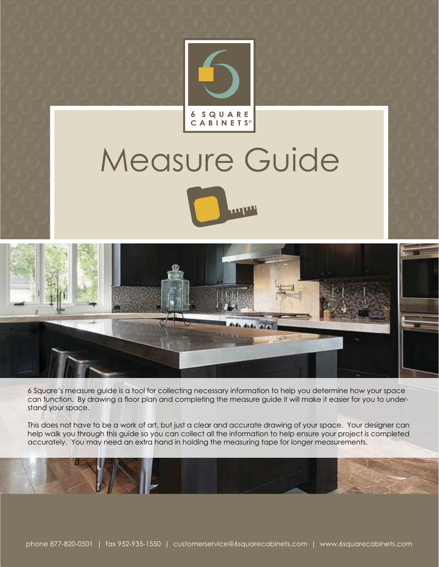

# Measure Guide





6 Square's measure guide is a tool for collecting necessary information to help you determine how your space can function. By drawing a floor plan and completing the measure guide it will make it easier for you to understand your space.

This does not have to be a work of art, but just a clear and accurate drawing of your space. Your designer can help walk you through this guide so you can collect all the information to help ensure your project is completed accurately. You may need an extra hand in holding the measuring tape for longer measurements.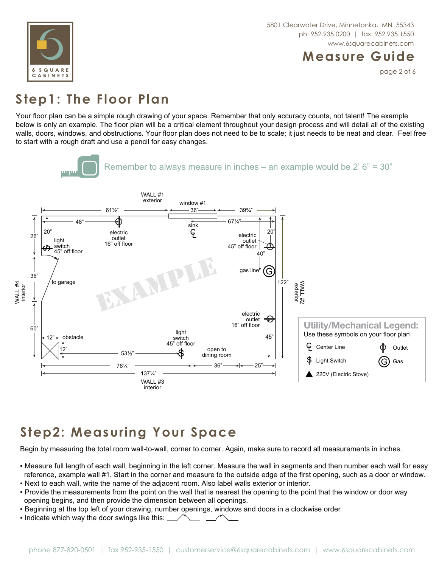

#### **Measure Guide**

page 2 of 6

## **Step1: The Floor Plan**

Your floor plan can be a simple rough drawing of your space. Remember that only accuracy counts, not talent! The example below is only an example. The floor plan will be a critical element throughout your design process and will detail all of the existing walls, doors, windows, and obstructions. Your floor plan does not need to be to scale; it just needs to be neat and clear. Feel free to start with a rough draft and use a pencil for easy changes.



# **Step2: Measuring Your Space**

Begin by measuring the total room wall-to-wall, corner to corner. Again, make sure to record all measurements in inches.

- Measure full length of each wall, beginning in the left corner. Measure the wall in segments and then number each wall for easy reference, example wall #1. Start in the corner and measure to the outside edge of the first opening, such as a door or window.
- Next to each wall, write the name of the adjacent room. Also label walls exterior or interior.
- Provide the measurements from the point on the wall that is nearest the opening to the point that the window or door way opening begins, and then provide the dimension between all openings.
- **Example 10** at the top left of your drawing, number openings, windows and doors in a clockwise order
- . Indicate which way the door swings like this: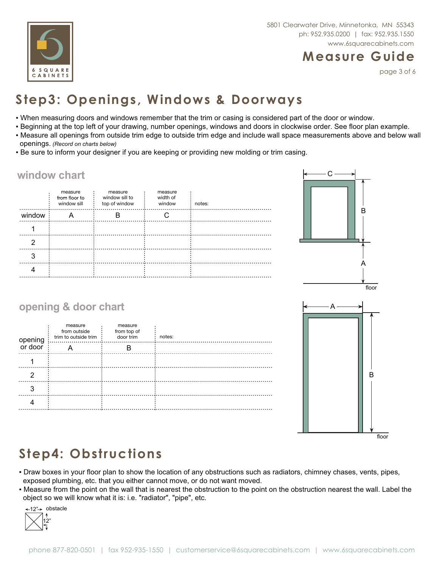

## **Measure Guide**

page 3 of 6

# **Step3: Openings, Windows & Doorways**

- When measuring doors and windows remember that the trim or casing is considered part of the door or window.
- Beginning at the top left of your drawing, number openings, windows and doors in clockwise order. See floor plan example. • Measure all openings from outside trim edge to outside trim edge and include wall space measurements above and below wall  *(Record on charts below)*
- . Be sure to inform your designer if you are keeping or providing new molding or trim casing.

#### **window chart**

|        | measure<br>from floor to<br>window sill | measure<br>window sill to<br>top of window | measure<br>width of<br>window | notes: |
|--------|-----------------------------------------|--------------------------------------------|-------------------------------|--------|
| window |                                         |                                            |                               |        |
|        |                                         |                                            |                               |        |
|        |                                         |                                            |                               |        |
|        |                                         |                                            |                               |        |
|        |                                         |                                            |                               |        |



## **opening & door chart**

| opening | measure<br>from outside<br>trim to outside trim | measure<br>from top of<br>door trim | notes: |
|---------|-------------------------------------------------|-------------------------------------|--------|
| or door | A                                               |                                     |        |
|         |                                                 |                                     |        |
|         |                                                 |                                     |        |
|         |                                                 |                                     |        |
|         |                                                 |                                     |        |



## **Step4: Obstructions**

- . Draw boxes in your floor plan to show the location of any obstructions such as radiators, chimney chases, vents, pipes, exposed plumbing, etc. that you either cannot move, or do not want moved.
- Measure from the point on the wall that is nearest the obstruction to the point on the obstruction nearest the wall. Label the object so we will know what it is: i.e. "radiator", "pipe", etc.

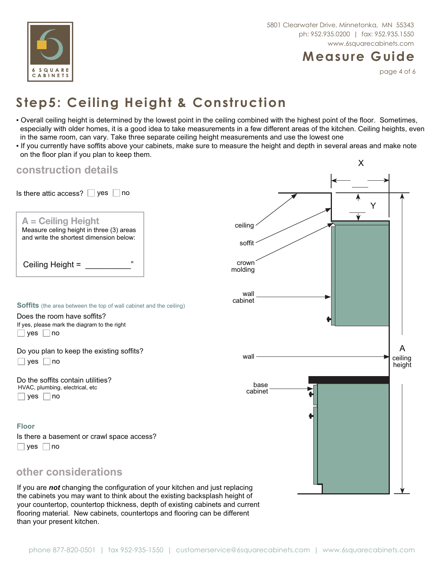

#### **Measure Guide**

page 4 of 6

# **Step5: Ceiling Height & Construction**

- Overall ceiling height is determined by the lowest point in the ceiling combined with the highest point of the floor. Sometimes, especially with older homes, it is a good idea to take measurements in a few different areas of the kitchen. Ceiling heights, even in the same room, can vary. Take three separate ceiling height measurements and use the lowest one
- If you currently have soffits above your cabinets, make sure to measure the height and depth in several areas and make note on the floor plan if you plan to keep them.

| construction details                                                                                                                                                                 |                   | X                      |
|--------------------------------------------------------------------------------------------------------------------------------------------------------------------------------------|-------------------|------------------------|
|                                                                                                                                                                                      |                   |                        |
| Is there attic access? $\Box$ yes $\Box$ no                                                                                                                                          |                   |                        |
| A = Ceiling Height<br>Measure celing height in three (3) areas<br>and write the shortest dimension below:                                                                            | ceiling<br>soffit | Y                      |
|                                                                                                                                                                                      | crown<br>molding  |                        |
| <b>Soffits</b> (the area between the top of wall cabinet and the ceiling)<br>Does the room have soffits?<br>If yes, please mark the diagram to the right<br>$\Box$ yes $\Box$<br> no | wall<br>cabinet   |                        |
| Do you plan to keep the existing soffits?<br>yes $\Box$ no                                                                                                                           | wall              | A<br>ceiling<br>height |
| Do the soffits contain utilities?<br>HVAC, plumbing, electrical, etc<br>yes<br>l no                                                                                                  | base<br>cabinet   |                        |
| <b>Floor</b><br>Is there a basement or crawl space access?<br>$\Box$ yes $\Box$<br> no                                                                                               |                   |                        |
| other considerations                                                                                                                                                                 |                   |                        |

If you are *not* changing the configuration of your kitchen and just replacing the cabinets you may want to think about the existing backsplash height of your countertop, countertop thickness, depth of existing cabinets and current flooring material. New cabinets, countertops and flooring can be different than your present kitchen.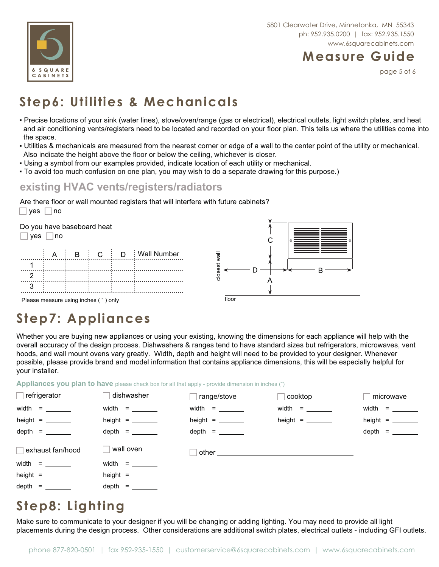

#### **Measure Guide**

page 5 of 6

# **Step6: Utilities & Mechanicals**

- Precise locations of your sink (water lines), stove/oven/range (gas or electrical), electrical outlets, light switch plates, and heat and air conditioning vents/registers need to be located and recorded on your floor plan. This tells us where the utilities come into the space.
- Utilities & mechanicals are measured from the nearest corner or edge of a wall to the center point of the utility or mechanical. Also indicate the height above the floor or below the ceiling, whichever is closer.
- . Using a symbol from our examples provided, indicate location of each utility or mechanical.
- $\bullet$  To avoid too much confusion on one plan, you may wish to do a separate drawing for this purpose.)

#### **existing HVAC vents/registers/radiators**

 $\Box$  yes  $\Box$  no Are there floor or wall mounted registers that will interfere with future cabinets?



## **Step7: Appliances**

Whether you are buying new appliances or using your existing, knowing the dimensions for each appliance will help with the overall accuracy of the design process. Dishwashers & ranges tend to have standard sizes but refrigerators, microwaves, vent hoods, and wall mount ovens vary greatly. Width, depth and height will need to be provided to your designer. Whenever possible, please provide brand and model information that contains appliance dimensions, this will be especially helpful for your installer.

Appliances you plan to have please check box for all that apply - provide dimension in inches (")

| $\Box$ refrigerator                                                                               | dishwasher                      | range/stove                                                                                                                                                                                                                    | cooktop         | microwave |
|---------------------------------------------------------------------------------------------------|---------------------------------|--------------------------------------------------------------------------------------------------------------------------------------------------------------------------------------------------------------------------------|-----------------|-----------|
| $width =$                                                                                         | $width =$                       | $width =$                                                                                                                                                                                                                      | $width =$       | $width =$ |
| height = $\frac{1}{\sqrt{1-\frac{1}{2}}\sqrt{1-\frac{1}{2}}\left(\frac{1}{2}-\frac{1}{2}\right)}$ | height = $\_\_$                 |                                                                                                                                                                                                                                | height = $\_\_$ |           |
| depth = $\_\_$                                                                                    |                                 | depth = $\_\_$                                                                                                                                                                                                                 |                 | $depth =$ |
| $\Box$ exhaust fan/hood                                                                           | wall oven                       | other contract of the contract of the contract of the contract of the contract of the contract of the contract of the contract of the contract of the contract of the contract of the contract of the contract of the contract |                 |           |
|                                                                                                   |                                 |                                                                                                                                                                                                                                |                 |           |
| width = $\frac{1}{2}$                                                                             |                                 |                                                                                                                                                                                                                                |                 |           |
| height = $\_\_$                                                                                   | height = $\_\_\_\_\_\_\_\_\_\_$ |                                                                                                                                                                                                                                |                 |           |

#### **Step8: Lighting**

Make sure to communicate to your designer if you will be changing or adding lighting. You may need to provide all light placements during the design process. Other considerations are additional switch plates, electrical outlets - including GFI outlets.